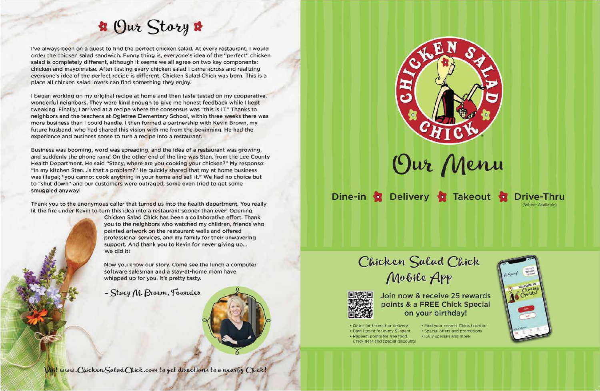## **R** Our Story &

I've always been on a quest to find the perfect chicken salad. At every restaurant, I would order the chicken salad sandwich. Funny thing is, everyone's idea of the "perfect" chicken salad is completely different, although it seems we all agree on two key components: chicken and mayonnaise. After tasting every chicken salad I came across and realizing everyone's idea of the perfect recipe is different, Chicken Salad Chick was born. This is a place all chicken salad lovers can find something they enjoy.

I began working on my original recipe at home and then taste tested on my cooperative. wonderful neighbors. They were kind enough to give me honest feedback while I kept tweaking. Finally, I arrived at a recipe where the consensus was "this is IT." Thanks to neighbors and the teachers at Ogletree Elementary School, within three weeks there was more business than I could handle. I then formed a partnership with Kevin Brown, my future husband, who had shared this vision with me from the beginning. He had the experience and business sense to turn a recipe into a restaurant.

Business was booming, word was spreading, and the idea of a restaurant was growing, and suddenly the phone rang! On the other end of the line was Stan, from the Lee County Health Department. He said "Stacy, where are you cooking your chicken?" My response: "In my kitchen Stan... is that a problem?" He quickly shared that my at home business was illegal; "you cannot cook anything in your home and sell it." We had no choice but to "shut down" and our customers were outraged; some even tried to get some smuggled anyway!

Thank you to the anonymous caller that turned us into the health department. You really lit the fire under Kevin to turn this idea into a restaurant sooner than ever! Opening

> Chicken Salad Chick has been a collaborative effort. Thank you to the neighbors who watched my children, friends who painted artwork on the restaurant walls and offered professional services, and my family for their unwavering support. And thank you to Kevin for never giving up... We did it!

Now you know our story. Come see the lunch a computer software salesman and a stay-at-home mom have whipped up for you. It's pretty tasty.

- Stacy M. Brown, Founder







points & a FREE Chick Special on your birthday!

· Order for takeout or delivery · Earn 1 point for every \$1 spent

- · Redeem points for free food, Chick gear and special discounts
- 





Dine-in 2 Delivery 2 Takeout



# Join now & receive 25 rewards

. Find your nearest Chick Location · Special offers and promotions · Daily specials and more!